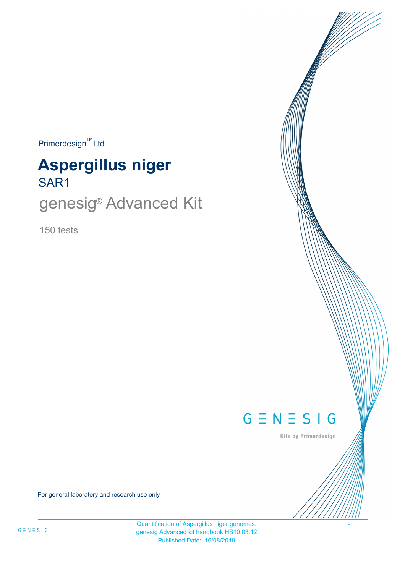$Primerdesign^{\text{TM}}$ Ltd

# SAR1 **Aspergillus niger**

genesig<sup>®</sup> Advanced Kit

150 tests



Kits by Primerdesign

1

For general laboratory and research use only

Quantification of Aspergillus niger genomes. genesig Advanced kit handbook HB10.03.12 Published Date: 16/08/2019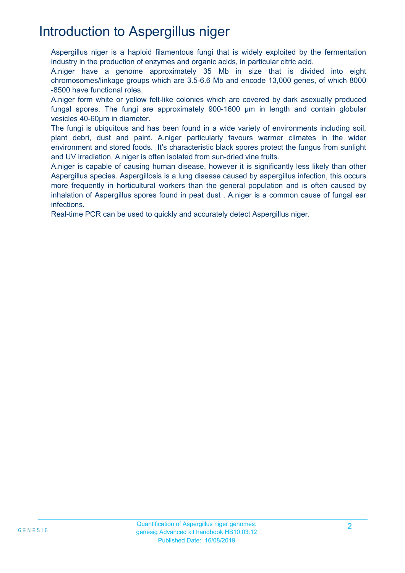## Introduction to Aspergillus niger

Aspergillus niger is a haploid filamentous fungi that is widely exploited by the fermentation industry in the production of enzymes and organic acids, in particular citric acid.

A.niger have a genome approximately 35 Mb in size that is divided into eight chromosomes/linkage groups which are 3.5-6.6 Mb and encode 13,000 genes, of which 8000 -8500 have functional roles.

A.niger form white or yellow felt-like colonies which are covered by dark asexually produced fungal spores. The fungi are approximately 900-1600 µm in length and contain globular vesicles 40-60µm in diameter.

The fungi is ubiquitous and has been found in a wide variety of environments including soil, plant debri, dust and paint. A.niger particularly favours warmer climates in the wider environment and stored foods. It's characteristic black spores protect the fungus from sunlight and UV irradiation, A.niger is often isolated from sun-dried vine fruits.

A.niger is capable of causing human disease, however it is significantly less likely than other Aspergillus species. Aspergillosis is a lung disease caused by aspergillus infection, this occurs more frequently in horticultural workers than the general population and is often caused by inhalation of Aspergillus spores found in peat dust . A.niger is a common cause of fungal ear infections.

Real-time PCR can be used to quickly and accurately detect Aspergillus niger.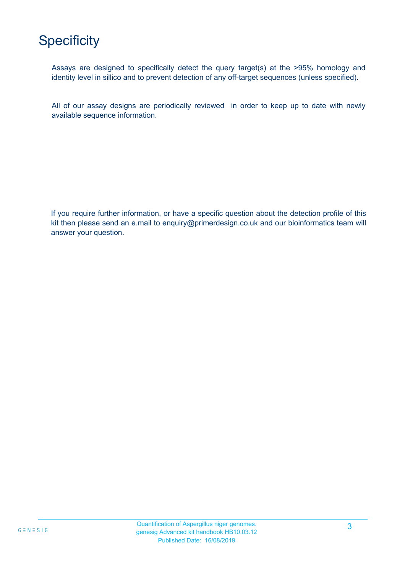# **Specificity**

Assays are designed to specifically detect the query target(s) at the >95% homology and identity level in sillico and to prevent detection of any off-target sequences (unless specified).

All of our assay designs are periodically reviewed in order to keep up to date with newly available sequence information.

If you require further information, or have a specific question about the detection profile of this kit then please send an e.mail to enquiry@primerdesign.co.uk and our bioinformatics team will answer your question.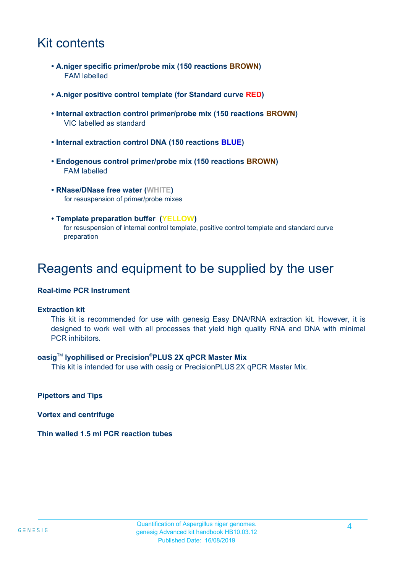### Kit contents

- **A.niger specific primer/probe mix (150 reactions BROWN)** FAM labelled
- **A.niger positive control template (for Standard curve RED)**
- **Internal extraction control primer/probe mix (150 reactions BROWN)** VIC labelled as standard
- **Internal extraction control DNA (150 reactions BLUE)**
- **Endogenous control primer/probe mix (150 reactions BROWN)** FAM labelled
- **RNase/DNase free water (WHITE)** for resuspension of primer/probe mixes
- **Template preparation buffer (YELLOW)** for resuspension of internal control template, positive control template and standard curve preparation

### Reagents and equipment to be supplied by the user

#### **Real-time PCR Instrument**

#### **Extraction kit**

This kit is recommended for use with genesig Easy DNA/RNA extraction kit. However, it is designed to work well with all processes that yield high quality RNA and DNA with minimal PCR inhibitors.

#### **oasig**TM **lyophilised or Precision**®**PLUS 2X qPCR Master Mix**

This kit is intended for use with oasig or PrecisionPLUS 2X qPCR Master Mix.

**Pipettors and Tips**

**Vortex and centrifuge**

**Thin walled 1.5 ml PCR reaction tubes**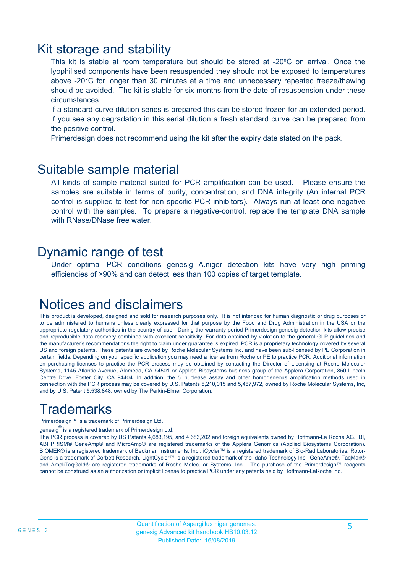### Kit storage and stability

This kit is stable at room temperature but should be stored at -20ºC on arrival. Once the lyophilised components have been resuspended they should not be exposed to temperatures above -20°C for longer than 30 minutes at a time and unnecessary repeated freeze/thawing should be avoided. The kit is stable for six months from the date of resuspension under these circumstances.

If a standard curve dilution series is prepared this can be stored frozen for an extended period. If you see any degradation in this serial dilution a fresh standard curve can be prepared from the positive control.

Primerdesign does not recommend using the kit after the expiry date stated on the pack.

### Suitable sample material

All kinds of sample material suited for PCR amplification can be used. Please ensure the samples are suitable in terms of purity, concentration, and DNA integrity (An internal PCR control is supplied to test for non specific PCR inhibitors). Always run at least one negative control with the samples. To prepare a negative-control, replace the template DNA sample with RNase/DNase free water.

### Dynamic range of test

Under optimal PCR conditions genesig A.niger detection kits have very high priming efficiencies of >90% and can detect less than 100 copies of target template.

### Notices and disclaimers

This product is developed, designed and sold for research purposes only. It is not intended for human diagnostic or drug purposes or to be administered to humans unless clearly expressed for that purpose by the Food and Drug Administration in the USA or the appropriate regulatory authorities in the country of use. During the warranty period Primerdesign genesig detection kits allow precise and reproducible data recovery combined with excellent sensitivity. For data obtained by violation to the general GLP guidelines and the manufacturer's recommendations the right to claim under guarantee is expired. PCR is a proprietary technology covered by several US and foreign patents. These patents are owned by Roche Molecular Systems Inc. and have been sub-licensed by PE Corporation in certain fields. Depending on your specific application you may need a license from Roche or PE to practice PCR. Additional information on purchasing licenses to practice the PCR process may be obtained by contacting the Director of Licensing at Roche Molecular Systems, 1145 Atlantic Avenue, Alameda, CA 94501 or Applied Biosystems business group of the Applera Corporation, 850 Lincoln Centre Drive, Foster City, CA 94404. In addition, the 5' nuclease assay and other homogeneous amplification methods used in connection with the PCR process may be covered by U.S. Patents 5,210,015 and 5,487,972, owned by Roche Molecular Systems, Inc, and by U.S. Patent 5,538,848, owned by The Perkin-Elmer Corporation.

## **Trademarks**

Primerdesign™ is a trademark of Primerdesign Ltd.

genesig $^\circledR$  is a registered trademark of Primerdesign Ltd.

The PCR process is covered by US Patents 4,683,195, and 4,683,202 and foreign equivalents owned by Hoffmann-La Roche AG. BI, ABI PRISM® GeneAmp® and MicroAmp® are registered trademarks of the Applera Genomics (Applied Biosystems Corporation). BIOMEK® is a registered trademark of Beckman Instruments, Inc.; iCycler™ is a registered trademark of Bio-Rad Laboratories, Rotor-Gene is a trademark of Corbett Research. LightCycler™ is a registered trademark of the Idaho Technology Inc. GeneAmp®, TaqMan® and AmpliTaqGold® are registered trademarks of Roche Molecular Systems, Inc., The purchase of the Primerdesign™ reagents cannot be construed as an authorization or implicit license to practice PCR under any patents held by Hoffmann-LaRoche Inc.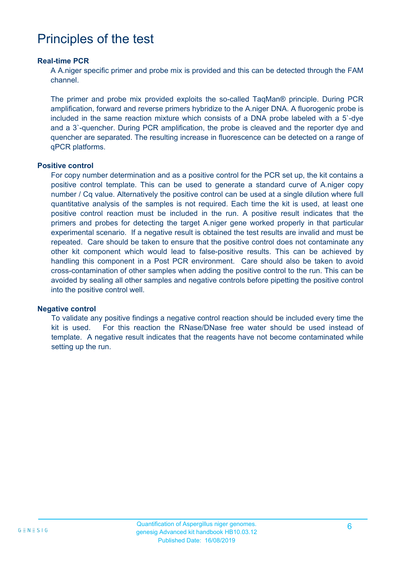### Principles of the test

#### **Real-time PCR**

A A.niger specific primer and probe mix is provided and this can be detected through the FAM channel.

The primer and probe mix provided exploits the so-called TaqMan® principle. During PCR amplification, forward and reverse primers hybridize to the A.niger DNA. A fluorogenic probe is included in the same reaction mixture which consists of a DNA probe labeled with a 5`-dye and a 3`-quencher. During PCR amplification, the probe is cleaved and the reporter dye and quencher are separated. The resulting increase in fluorescence can be detected on a range of qPCR platforms.

#### **Positive control**

For copy number determination and as a positive control for the PCR set up, the kit contains a positive control template. This can be used to generate a standard curve of A.niger copy number / Cq value. Alternatively the positive control can be used at a single dilution where full quantitative analysis of the samples is not required. Each time the kit is used, at least one positive control reaction must be included in the run. A positive result indicates that the primers and probes for detecting the target A.niger gene worked properly in that particular experimental scenario. If a negative result is obtained the test results are invalid and must be repeated. Care should be taken to ensure that the positive control does not contaminate any other kit component which would lead to false-positive results. This can be achieved by handling this component in a Post PCR environment. Care should also be taken to avoid cross-contamination of other samples when adding the positive control to the run. This can be avoided by sealing all other samples and negative controls before pipetting the positive control into the positive control well.

#### **Negative control**

To validate any positive findings a negative control reaction should be included every time the kit is used. For this reaction the RNase/DNase free water should be used instead of template. A negative result indicates that the reagents have not become contaminated while setting up the run.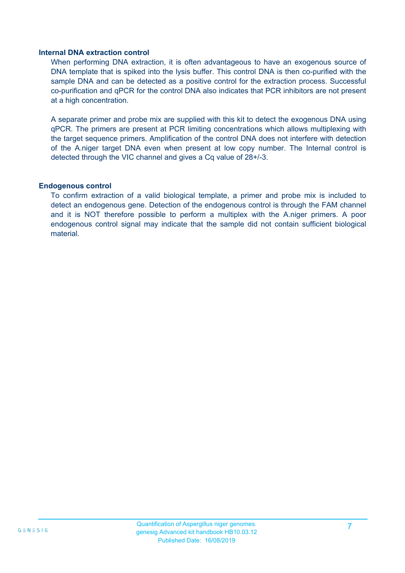#### **Internal DNA extraction control**

When performing DNA extraction, it is often advantageous to have an exogenous source of DNA template that is spiked into the lysis buffer. This control DNA is then co-purified with the sample DNA and can be detected as a positive control for the extraction process. Successful co-purification and qPCR for the control DNA also indicates that PCR inhibitors are not present at a high concentration.

A separate primer and probe mix are supplied with this kit to detect the exogenous DNA using qPCR. The primers are present at PCR limiting concentrations which allows multiplexing with the target sequence primers. Amplification of the control DNA does not interfere with detection of the A.niger target DNA even when present at low copy number. The Internal control is detected through the VIC channel and gives a Cq value of 28+/-3.

#### **Endogenous control**

To confirm extraction of a valid biological template, a primer and probe mix is included to detect an endogenous gene. Detection of the endogenous control is through the FAM channel and it is NOT therefore possible to perform a multiplex with the A.niger primers. A poor endogenous control signal may indicate that the sample did not contain sufficient biological material.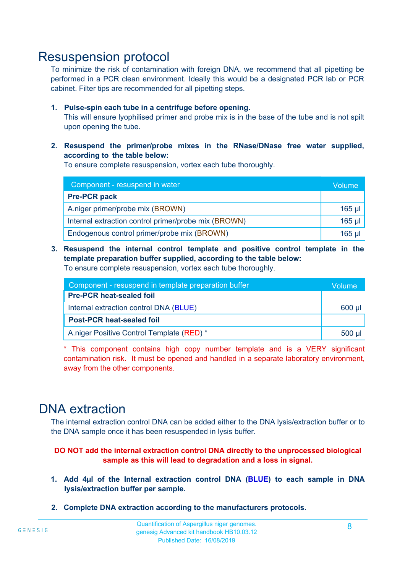### Resuspension protocol

To minimize the risk of contamination with foreign DNA, we recommend that all pipetting be performed in a PCR clean environment. Ideally this would be a designated PCR lab or PCR cabinet. Filter tips are recommended for all pipetting steps.

#### **1. Pulse-spin each tube in a centrifuge before opening.**

This will ensure lyophilised primer and probe mix is in the base of the tube and is not spilt upon opening the tube.

#### **2. Resuspend the primer/probe mixes in the RNase/DNase free water supplied, according to the table below:**

To ensure complete resuspension, vortex each tube thoroughly.

| Component - resuspend in water                       |          |  |
|------------------------------------------------------|----------|--|
| <b>Pre-PCR pack</b>                                  |          |  |
| A.niger primer/probe mix (BROWN)                     | $165$ µl |  |
| Internal extraction control primer/probe mix (BROWN) | $165$ µl |  |
| Endogenous control primer/probe mix (BROWN)          | $165$ µl |  |

### **3. Resuspend the internal control template and positive control template in the template preparation buffer supplied, according to the table below:**

To ensure complete resuspension, vortex each tube thoroughly.

| Component - resuspend in template preparation buffer |  |  |  |
|------------------------------------------------------|--|--|--|
| <b>Pre-PCR heat-sealed foil</b>                      |  |  |  |
| Internal extraction control DNA (BLUE)               |  |  |  |
| <b>Post-PCR heat-sealed foil</b>                     |  |  |  |
| A.niger Positive Control Template (RED) *            |  |  |  |

\* This component contains high copy number template and is a VERY significant contamination risk. It must be opened and handled in a separate laboratory environment, away from the other components.

### DNA extraction

The internal extraction control DNA can be added either to the DNA lysis/extraction buffer or to the DNA sample once it has been resuspended in lysis buffer.

#### **DO NOT add the internal extraction control DNA directly to the unprocessed biological sample as this will lead to degradation and a loss in signal.**

- **1. Add 4µl of the Internal extraction control DNA (BLUE) to each sample in DNA lysis/extraction buffer per sample.**
- **2. Complete DNA extraction according to the manufacturers protocols.**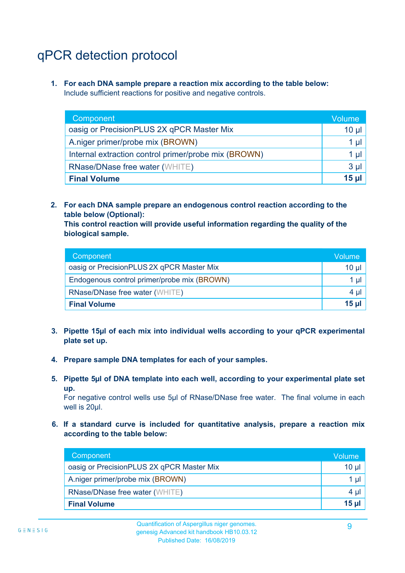# qPCR detection protocol

**1. For each DNA sample prepare a reaction mix according to the table below:** Include sufficient reactions for positive and negative controls.

| Component                                            | <b>Volume</b> |
|------------------------------------------------------|---------------|
| oasig or PrecisionPLUS 2X qPCR Master Mix            | 10 $\mu$      |
| A.niger primer/probe mix (BROWN)                     | 1 µI ,        |
| Internal extraction control primer/probe mix (BROWN) | 1 $\mu$       |
| <b>RNase/DNase free water (WHITE)</b>                | $3 \mu$       |
| <b>Final Volume</b>                                  | 15 ul         |

**2. For each DNA sample prepare an endogenous control reaction according to the table below (Optional):**

**This control reaction will provide useful information regarding the quality of the biological sample.**

| Component                                   | Volume' |
|---------------------------------------------|---------|
| oasig or PrecisionPLUS 2X qPCR Master Mix   | 10 µl   |
| Endogenous control primer/probe mix (BROWN) | 1 µl    |
| <b>RNase/DNase free water (WHITE)</b>       | $4 \mu$ |
| <b>Final Volume</b>                         | $15$ µ  |

- **3. Pipette 15µl of each mix into individual wells according to your qPCR experimental plate set up.**
- **4. Prepare sample DNA templates for each of your samples.**
- **5. Pipette 5µl of DNA template into each well, according to your experimental plate set up.**

For negative control wells use 5µl of RNase/DNase free water. The final volume in each well is 20ul.

**6. If a standard curve is included for quantitative analysis, prepare a reaction mix according to the table below:**

| Component                                 | Volume          |
|-------------------------------------------|-----------------|
| oasig or PrecisionPLUS 2X qPCR Master Mix | 10 <sub>µ</sub> |
| A.niger primer/probe mix (BROWN)          | $1 \mu$         |
| <b>RNase/DNase free water (WHITE)</b>     | $4 \mu$         |
| <b>Final Volume</b>                       | $15$ µ          |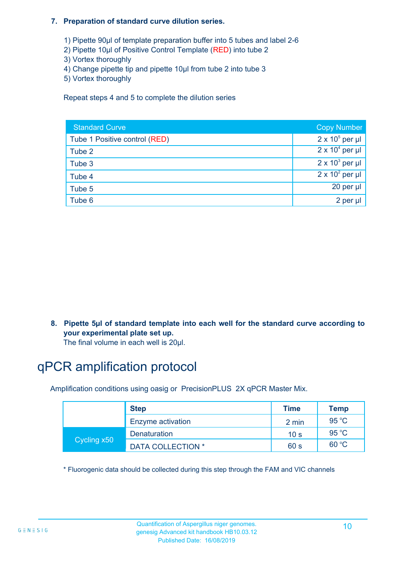#### **7. Preparation of standard curve dilution series.**

- 1) Pipette 90µl of template preparation buffer into 5 tubes and label 2-6
- 2) Pipette 10µl of Positive Control Template (RED) into tube 2
- 3) Vortex thoroughly
- 4) Change pipette tip and pipette 10µl from tube 2 into tube 3
- 5) Vortex thoroughly

Repeat steps 4 and 5 to complete the dilution series International Units No international units

| <b>Standard Curve</b>         | <b>Copy Number</b>     |
|-------------------------------|------------------------|
| Tube 1 Positive control (RED) | $2 \times 10^5$ per µl |
| Tube 2                        | $2 \times 10^4$ per µl |
| Tube 3                        | $2 \times 10^3$ per µl |
| Tube 4                        | $2 \times 10^2$ per µl |
| Tube 5                        | 20 per $\mu$           |
| Tube 6                        | 2 per ul               |

**8. Pipette 5µl of standard template into each well for the standard curve according to your experimental plate set up.**

The final volume in each well is 20µl.

### qPCR amplification protocol

Amplification conditions using oasig or PrecisionPLUS 2X qPCR Master Mix.

|             | <b>Step</b>         | <b>Time</b>     | Temp           |
|-------------|---------------------|-----------------|----------------|
|             | Enzyme activation   | 2 min           | $95^{\circ}$ C |
| Cycling x50 | <b>Denaturation</b> | 10 <sub>s</sub> | $95^{\circ}$ C |
|             | DATA COLLECTION *   | 60 s            | 60 °C          |

\* Fluorogenic data should be collected during this step through the FAM and VIC channels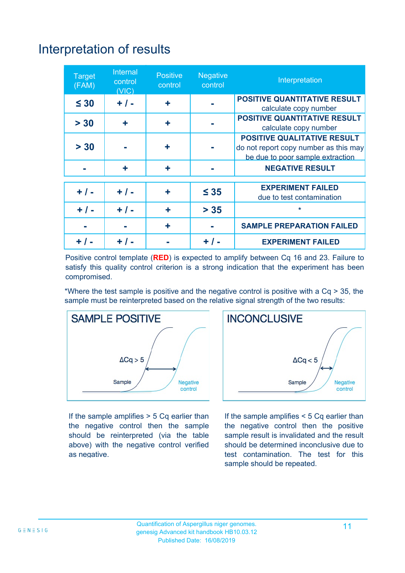# Interpretation of results

| <b>Target</b><br>(FAM) | Internal<br>control<br>(VIC) | <b>Positive</b><br>control | <b>Negative</b><br>control | Interpretation                                                                                                  |
|------------------------|------------------------------|----------------------------|----------------------------|-----------------------------------------------------------------------------------------------------------------|
| $\leq 30$              | $+ / -$                      | ÷                          |                            | <b>POSITIVE QUANTITATIVE RESULT</b>                                                                             |
| > 30                   | ٠                            | ÷                          |                            | calculate copy number<br><b>POSITIVE QUANTITATIVE RESULT</b><br>calculate copy number                           |
| > 30                   |                              | ÷                          |                            | <b>POSITIVE QUALITATIVE RESULT</b><br>do not report copy number as this may<br>be due to poor sample extraction |
|                        | ÷                            | ÷                          |                            | <b>NEGATIVE RESULT</b>                                                                                          |
| $+ / -$                | $+ 1 -$                      | ٠                          | $\leq 35$                  | <b>EXPERIMENT FAILED</b><br>due to test contamination                                                           |
| $+ 1 -$                | $+ / -$                      | ٠                          | $> 35$                     | *                                                                                                               |
|                        |                              | ٠                          |                            | <b>SAMPLE PREPARATION FAILED</b>                                                                                |
|                        |                              |                            | + / -                      | <b>EXPERIMENT FAILED</b>                                                                                        |

Positive control template (**RED**) is expected to amplify between Cq 16 and 23. Failure to satisfy this quality control criterion is a strong indication that the experiment has been compromised.

\*Where the test sample is positive and the negative control is positive with a Cq > 35, the sample must be reinterpreted based on the relative signal strength of the two results:



If the sample amplifies > 5 Cq earlier than the negative control then the sample should be reinterpreted (via the table above) with the negative control verified as negative.



If the sample amplifies < 5 Cq earlier than the negative control then the positive sample result is invalidated and the result should be determined inconclusive due to test contamination. The test for this sample should be repeated.